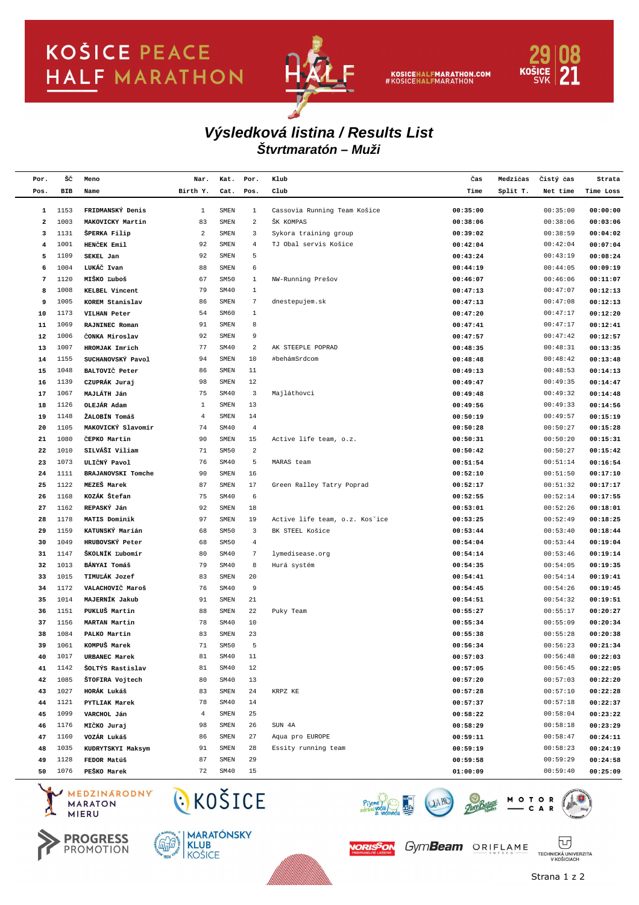## **KOŠICE PEACE HALF MARATHON**



KOSICEHALFMARATHON.COM<br>#KOSICEHALFMARATHON



## **Štvrtmaratón – Muži Výsledková listina / Results List**

| Por.   | šč           | Meno               | Nar.           | Kat.         | Por.                           | Klub                                      | Čas                  | Medzičas | Čistý čas | Strata               |
|--------|--------------|--------------------|----------------|--------------|--------------------------------|-------------------------------------------|----------------------|----------|-----------|----------------------|
| Pos.   | BIB          | Name               | Birth Y.       | Cat.         | Pos.                           | Club                                      | Time                 | Split T. | Net time  | Time Loss            |
|        |              | FRIDMANSKÝ Denis   |                |              |                                |                                           |                      |          | 00:35:00  |                      |
| 1<br>2 | 1153<br>1003 | MAKOVICKY Martin   | 1<br>83        | SMEN<br>SMEN | $\mathbf{1}$<br>$\overline{a}$ | Cassovia Running Team Košice<br>ŠK KOMPAS | 00:35:00<br>00:38:06 |          | 00:38:06  | 00:00:00<br>00:03:06 |
| з      | 1131         | ŠPERKA Filip       | $\overline{a}$ | SMEN         | 3                              | Sykora training group                     | 00:39:02             |          | 00:38:59  | 00:04:02             |
| 4      | 1001         | HENČEK Emil        | 92             | SMEN         | $\overline{4}$                 | TJ Obal servis Košice                     | 00:42:04             |          | 00:42:04  | 00:07:04             |
| 5      | 1109         | SEKEL Jan          | 92             | SMEN         | 5                              |                                           | 00:43:24             |          | 00:43:19  | 00:08:24             |
| 6      | 1004         | LUKÁČ Ivan         | 88             | SMEN         | 6                              |                                           | 00:44:19             |          | 00:44:05  | 00:09:19             |
| 7      | 1120         | MIŠKO Ľuboš        | 67             | SM50         | 1                              | NW-Running Prešov                         | 00:46:07             |          | 00:46:06  | 00:11:07             |
| 8      | 1008         | KELBEL Vincent     | 79             | SM40         | $1\,$                          |                                           | 00:47:13             |          | 00:47:07  | 00:12:13             |
| 9      | 1005         | KOREM Stanislav    | 86             | SMEN         | $\sqrt{7}$                     | dnestepujem.sk                            | 00:47:13             |          | 00:47:08  | 00:12:13             |
| 10     | 1173         | VILHAN Peter       | 54             | SM60         | $1\,$                          |                                           | 00:47:20             |          | 00:47:17  | 00:12:20             |
| 11     | 1069         | RAJNINEC Roman     | 91             | SMEN         | 8                              |                                           | 00:47:41             |          | 00:47:17  | 00:12:41             |
| 12     | 1006         | CONKA Miroslav     | 92             | SMEN         | 9                              |                                           | 00:47:57             |          | 00:47:42  | 00:12:57             |
| 13     | 1007         | HROMJAK Imrich     | 77             | SM40         | $\overline{\mathbf{c}}$        | AK STEEPLE POPRAD                         | 00:48:35             |          | 00:48:31  | 00:13:35             |
| 14     | 1155         | SUCHANOVSKÝ Pavol  | 94             | SMEN         | 10                             | #behámSrdcom                              | 00:48:48             |          | 00:48:42  | 00:13:48             |
| 15     | 1048         | BALTOVIČ Peter     | 86             | SMEN         | 11                             |                                           | 00:49:13             |          | 00:48:53  | 00:14:13             |
| 16     | 1139         | CZUPRÁK Juraj      | 98             | SMEN         | 12                             |                                           | 00:49:47             |          | 00:49:35  | 00:14:47             |
| 17     | 1067         | MAJLÁTH Ján        | 75             | SM40         | $\overline{\mathbf{3}}$        | Majláthovci                               | 00:49:48             |          | 00:49:32  | 00:14:48             |
| 18     | 1126         | OLEJÁR Adam        | 1              | SMEN         | 13                             |                                           | 00:49:56             |          | 00:49:33  | 00:14:56             |
| 19     | 1148         | ŽALOBÍN Tomáš      | $\overline{4}$ | SMEN         | 14                             |                                           | 00:50:19             |          | 00:49:57  | 00:15:19             |
| 20     | 1105         | MAKOVICKÝ Slavomír | 74             | SM40         | $\overline{4}$                 |                                           | 00:50:28             |          | 00:50:27  | 00:15:28             |
| 21     | 1080         | ČEPKO Martin       | 90             | SMEN         | 15                             | Active life team, o.z.                    | 00:50:31             |          | 00:50:20  | 00:15:31             |
| 22     | 1010         | SILVÁŠI Viliam     | 71             | SM50         | $\overline{a}$                 |                                           | 00:50:42             |          | 00:50:27  | 00:15:42             |
| 23     | 1073         | ULIČNÝ Pavol       | 76             | SM40         | 5                              | MARAS team                                | 00:51:54             |          | 00:51:14  | 00:16:54             |
| 24     | 1111         | BRAJANOVSKI Tomche | 90             | SMEN         | 16                             |                                           | 00:52:10             |          | 00:51:50  | 00:17:10             |
| 25     | 1122         | MEZEŠ Marek        | 87             | SMEN         | 17                             | Green Ralley Tatry Poprad                 | 00:52:17             |          | 00:51:32  | 00:17:17             |
| 26     | 1168         | KOZÁK Štefan       | 75             | SM40         | 6                              |                                           | 00:52:55             |          | 00:52:14  | 00:17:55             |
| 27     | 1162         | REPASKÝ Ján        | 92             | SMEN         | 18                             |                                           | 00:53:01             |          | 00:52:26  | 00:18:01             |
| 28     | 1178         | MATIS Dominik      | 97             | SMEN         | 19                             | Active life team, o.z. Kos'ice            | 00:53:25             |          | 00:52:49  | 00:18:25             |
| 29     | 1159         | KATUNSKÝ Marián    | 68             | SM50         | $\overline{\mathbf{3}}$        | BK STEEL Košice                           | 00:53:44             |          | 00:53:40  | 00:18:44             |
| 30     | 1049         | HRUBOVSKÝ Peter    | 68             | SM50         | $\overline{4}$                 |                                           | 00:54:04             |          | 00:53:44  | 00:19:04             |
| 31     | 1147         | ŠKOLNÍK Ľubomír    | 80             | SM40         | $\overline{7}$                 | lymedisease.org                           | 00:54:14             |          | 00:53:46  | 00:19:14             |
| 32     | 1013         | BÁNYAI Tomáš       | 79             | SM40         | 8                              | Hurá systém                               | 00:54:35             |          | 00:54:05  | 00:19:35             |
| 33     | 1015         | TIMULÁK Jozef      | 83             | SMEN         | 20                             |                                           | 00:54:41             |          | 00:54:14  | 00:19:41             |
| 34     | 1172         | VALACHOVIČ Maroš   | 76             | SM40         | 9                              |                                           | 00:54:45             |          | 00:54:26  | 00:19:45             |
| 35     | 1014         | MAJERNÍK Jakub     | 91             | SMEN         | 21                             |                                           | 00:54:51             |          | 00:54:32  | 00:19:51             |
| 36     | 1151         | PUKLUŠ Martin      | 88             | SMEN         | 22                             | Puky Team                                 | 00:55:27             |          | 00:55:17  | 00:20:27             |
| 37     | 1156         | MARTAN Martin      | 78             | SM40         | 10                             |                                           | 00:55:34             |          | 00:55:09  | 00:20:34             |
| 38     | 1084         | PALKO Martin       | 83             | SMEN         | 23                             |                                           | 00:55:38             |          | 00:55:28  | 00:20:38             |
| 39     | 1061         | KOMPUŠ Marek       | 71             | SM50         | 5                              |                                           | 00:56:34             |          | 00:56:23  | 00:21:34             |
| 40     | 1017         | URBANEC Marek      | 81             | SM40         | 11                             |                                           | 00:57:03             |          | 00:56:48  | 00:22:03             |
| 41     | 1142         | ŠOLTÝS Rastislav   | 81             | SM40         | 12                             |                                           | 00:57:05             |          | 00:56:45  | 00:22:05             |
| 42     | 1085         | ŠTOFIRA Vojtech    | 80             | SM40         | 13                             |                                           | 00:57:20             |          | 00:57:03  | 00:22:20             |
| 43     | 1027         | HORÁK Lukáš        | 83             | SMEN         | 24                             | KRPZ KE                                   | 00:57:28             |          | 00:57:10  | 00:22:28             |
| 44     | 1121         | PYTLIAK Marek      | 78             | SM40         | 14                             |                                           | 00:57:37             |          | 00:57:18  | 00:22:37             |
| 45     | 1099         | VARCHOL Ján        | $\overline{4}$ | SMEN         | 25                             |                                           | 00:58:22             |          | 00:58:04  | 00:23:22             |
| 46     | 1176         | MIČKO Juraj        | 98             | SMEN         | 26                             | SUN 4A                                    | 00:58:29             |          | 00:58:18  | 00:23:29             |
| 47     | 1160         | VOZÁR Lukáš        | 86             | SMEN         | 27                             | Aqua pro EUROPE                           | 00:59:11             |          | 00:58:47  | 00:24:11             |
| 48     | 1035         | KUDRYTSKYI Maksym  | 91             | SMEN         | 28                             | Essity running team                       | 00:59:19             |          | 00:58:23  | 00:24:19             |
| 49     | 1128         | FEDOR Matúš        | 87             | SMEN         | 29                             |                                           | 00:59:58             |          | 00:59:29  | 00:24:58             |
| 50     | 1076         | PEŠKO Marek        | 72             | SM40         | 15                             |                                           | 01:00:09             |          | 00:59:40  | 00:25:09             |

MEDZINARODNY **MARATON MIERU** 





CKOŠICE



Piy



*Haly Bažant* 

TECHNICKÁ UNIVERZITA<br>V KOŠICIACH